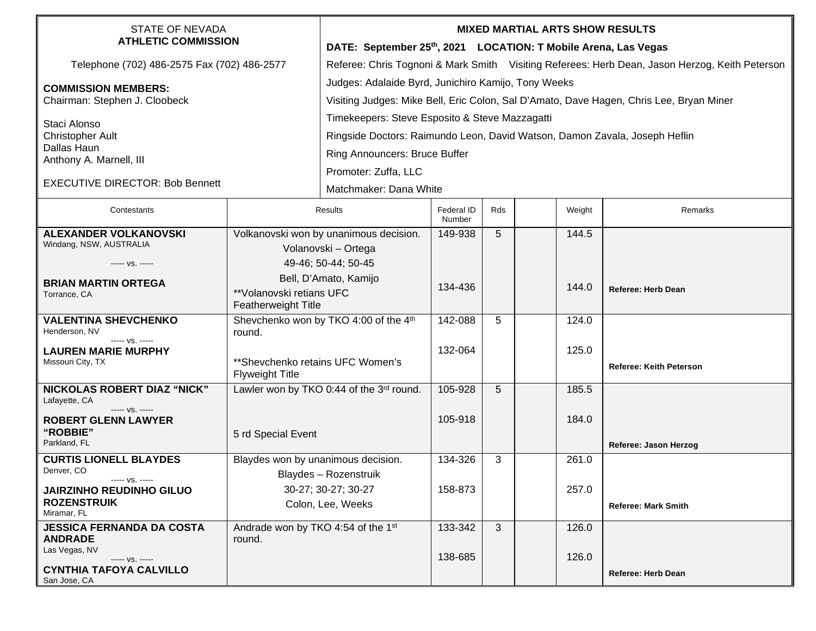| <b>STATE OF NEVADA</b><br><b>ATHLETIC COMMISSION</b>                      |                                                               | <b>MIXED MARTIAL ARTS SHOW RESULTS</b>                                                         |                      |     |  |        |                                |  |
|---------------------------------------------------------------------------|---------------------------------------------------------------|------------------------------------------------------------------------------------------------|----------------------|-----|--|--------|--------------------------------|--|
|                                                                           |                                                               | DATE: September 25th, 2021 LOCATION: T Mobile Arena, Las Vegas                                 |                      |     |  |        |                                |  |
| Telephone (702) 486-2575 Fax (702) 486-2577                               |                                                               | Referee: Chris Tognoni & Mark Smith Visiting Referees: Herb Dean, Jason Herzog, Keith Peterson |                      |     |  |        |                                |  |
| <b>COMMISSION MEMBERS:</b>                                                |                                                               | Judges: Adalaide Byrd, Junichiro Kamijo, Tony Weeks                                            |                      |     |  |        |                                |  |
| Chairman: Stephen J. Cloobeck                                             |                                                               | Visiting Judges: Mike Bell, Eric Colon, Sal D'Amato, Dave Hagen, Chris Lee, Bryan Miner        |                      |     |  |        |                                |  |
| Staci Alonso                                                              |                                                               | Timekeepers: Steve Esposito & Steve Mazzagatti                                                 |                      |     |  |        |                                |  |
| <b>Christopher Ault</b>                                                   |                                                               | Ringside Doctors: Raimundo Leon, David Watson, Damon Zavala, Joseph Heflin                     |                      |     |  |        |                                |  |
| Dallas Haun<br>Anthony A. Marnell, III                                    |                                                               | Ring Announcers: Bruce Buffer                                                                  |                      |     |  |        |                                |  |
|                                                                           |                                                               | Promoter: Zuffa, LLC                                                                           |                      |     |  |        |                                |  |
| <b>EXECUTIVE DIRECTOR: Bob Bennett</b>                                    |                                                               | Matchmaker: Dana White                                                                         |                      |     |  |        |                                |  |
| Contestants                                                               | <b>Results</b>                                                |                                                                                                | Federal ID<br>Number | Rds |  | Weight | Remarks                        |  |
| <b>ALEXANDER VOLKANOVSKI</b><br>Windang, NSW, AUSTRALIA                   | Volkanovski won by unanimous decision.<br>Volanovski - Ortega |                                                                                                | 149-938              | 5   |  | 144.5  |                                |  |
| ----- VS. -----                                                           | 49-46; 50-44; 50-45                                           |                                                                                                |                      |     |  |        |                                |  |
| <b>BRIAN MARTIN ORTEGA</b>                                                |                                                               | Bell, D'Amato, Kamijo                                                                          |                      |     |  |        |                                |  |
| Torrance, CA                                                              | **Volanovski retians UFC<br>Featherweight Title               |                                                                                                | 134-436              |     |  | 144.0  | <b>Referee: Herb Dean</b>      |  |
| <b>VALENTINA SHEVCHENKO</b><br>Henderson, NV<br>----- VS. -----           | Shevchenko won by TKO 4:00 of the 4th<br>round.               |                                                                                                | 142-088              | 5   |  | 124.0  |                                |  |
| <b>LAUREN MARIE MURPHY</b><br>Missouri City, TX                           | ** Shevchenko retains UFC Women's<br><b>Flyweight Title</b>   |                                                                                                | 132-064              |     |  | 125.0  | <b>Referee: Keith Peterson</b> |  |
| <b>NICKOLAS ROBERT DIAZ "NICK"</b><br>Lafayette, CA                       | Lawler won by TKO 0:44 of the 3rd round.                      |                                                                                                | 105-928              | 5   |  | 185.5  |                                |  |
| ----- VS. -----<br><b>ROBERT GLENN LAWYER</b><br>"ROBBIE"<br>Parkland, FL | 5 rd Special Event                                            |                                                                                                | 105-918              |     |  | 184.0  |                                |  |
| <b>CURTIS LIONELL BLAYDES</b>                                             | Blaydes won by unanimous decision.                            |                                                                                                | 134-326              | 3   |  | 261.0  | Referee: Jason Herzog          |  |
| Denver, CO<br>----- VS. --                                                | Blaydes - Rozenstruik                                         |                                                                                                |                      |     |  |        |                                |  |
| <b>JAIRZINHO REUDINHO GILUO</b>                                           | 30-27; 30-27; 30-27                                           |                                                                                                | 158-873              |     |  | 257.0  |                                |  |
| <b>ROZENSTRUIK</b><br>Miramar, FL                                         |                                                               | Colon, Lee, Weeks                                                                              |                      |     |  |        | <b>Referee: Mark Smith</b>     |  |
| <b>JESSICA FERNANDA DA COSTA</b>                                          | Andrade won by TKO 4:54 of the 1st                            |                                                                                                | 133-342              | 3   |  | 126.0  |                                |  |
| <b>ANDRADE</b><br>Las Vegas, NV                                           | round.                                                        |                                                                                                |                      |     |  |        |                                |  |
| ----- VS. -----<br><b>CYNTHIA TAFOYA CALVILLO</b><br>San Jose, CA         |                                                               |                                                                                                | 138-685              |     |  | 126.0  | Referee: Herb Dean             |  |